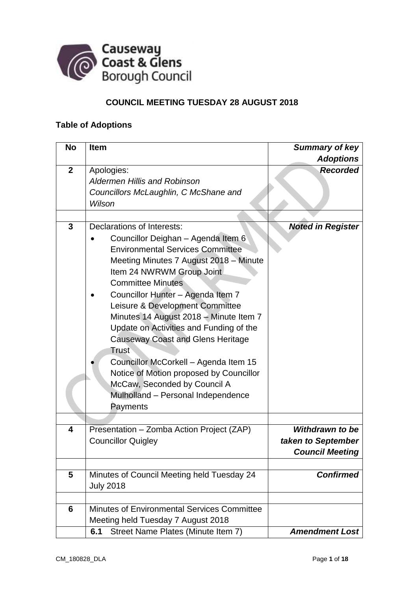

# **COUNCIL MEETING TUESDAY 28 AUGUST 2018**

### **Table of Adoptions**

| <b>No</b>      | <b>Item</b>                                 | <b>Summary of key</b>    |
|----------------|---------------------------------------------|--------------------------|
|                |                                             | <b>Adoptions</b>         |
| $\overline{2}$ | Apologies:                                  | <b>Recorded</b>          |
|                | <b>Aldermen Hillis and Robinson</b>         |                          |
|                | Councillors McLaughlin, C McShane and       |                          |
|                | Wilson                                      |                          |
|                |                                             |                          |
| 3              | Declarations of Interests:                  | <b>Noted in Register</b> |
|                | Councillor Deighan - Agenda Item 6          |                          |
|                | <b>Environmental Services Committee</b>     |                          |
|                | Meeting Minutes 7 August 2018 - Minute      |                          |
|                | Item 24 NWRWM Group Joint                   |                          |
|                | <b>Committee Minutes</b>                    |                          |
|                | Councillor Hunter - Agenda Item 7           |                          |
|                | Leisure & Development Committee             |                          |
|                | Minutes 14 August 2018 - Minute Item 7      |                          |
|                | Update on Activities and Funding of the     |                          |
|                | <b>Causeway Coast and Glens Heritage</b>    |                          |
|                | Trust                                       |                          |
|                |                                             |                          |
|                | Councillor McCorkell - Agenda Item 15       |                          |
|                | Notice of Motion proposed by Councillor     |                          |
|                | McCaw, Seconded by Council A                |                          |
|                | Mulholland - Personal Independence          |                          |
|                | Payments                                    |                          |
|                |                                             |                          |
| 4              | Presentation - Zomba Action Project (ZAP)   | Withdrawn to be          |
|                | <b>Councillor Quigley</b>                   | taken to September       |
|                |                                             | <b>Council Meeting</b>   |
|                |                                             |                          |
| 5              | Minutes of Council Meeting held Tuesday 24  | <b>Confirmed</b>         |
|                | <b>July 2018</b>                            |                          |
|                |                                             |                          |
| 6              | Minutes of Environmental Services Committee |                          |
|                | Meeting held Tuesday 7 August 2018          |                          |
|                | Street Name Plates (Minute Item 7)<br>6.1   | <b>Amendment Lost</b>    |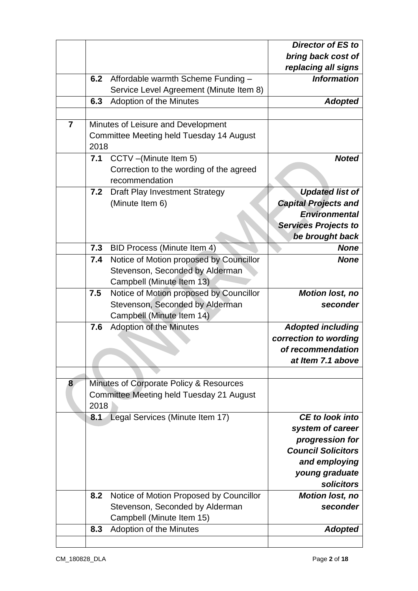|                |      |                                          | <b>Director of ES to</b>    |
|----------------|------|------------------------------------------|-----------------------------|
|                |      |                                          | bring back cost of          |
|                |      |                                          | replacing all signs         |
|                | 6.2  | Affordable warmth Scheme Funding -       | <b>Information</b>          |
|                |      | Service Level Agreement (Minute Item 8)  |                             |
|                | 6.3  | Adoption of the Minutes                  | <b>Adopted</b>              |
|                |      |                                          |                             |
| $\overline{7}$ |      | Minutes of Leisure and Development       |                             |
|                |      | Committee Meeting held Tuesday 14 August |                             |
|                | 2018 |                                          |                             |
|                | 7.1  | CCTV -(Minute Item 5)                    | <b>Noted</b>                |
|                |      | Correction to the wording of the agreed  |                             |
|                |      | recommendation                           |                             |
|                | 7.2  | <b>Draft Play Investment Strategy</b>    | <b>Updated list of</b>      |
|                |      | (Minute Item 6)                          | <b>Capital Projects and</b> |
|                |      |                                          | <b>Environmental</b>        |
|                |      |                                          | <b>Services Projects to</b> |
|                |      |                                          | be brought back             |
|                | 7.3  |                                          | <b>None</b>                 |
|                |      | <b>BID Process (Minute Item 4)</b>       |                             |
|                | 7.4  | Notice of Motion proposed by Councillor  | <b>None</b>                 |
|                |      | Stevenson, Seconded by Alderman          |                             |
|                |      | Campbell (Minute Item 13)                |                             |
|                | 7.5  | Notice of Motion proposed by Councillor  | <b>Motion lost, no</b>      |
|                |      | Stevenson, Seconded by Alderman          | seconder                    |
|                |      | Campbell (Minute Item 14)                |                             |
|                | 7.6  | <b>Adoption of the Minutes</b>           | <b>Adopted including</b>    |
|                |      |                                          | correction to wording       |
|                |      |                                          | of recommendation           |
|                |      |                                          | at Item 7.1 above           |
|                |      |                                          |                             |
| 8              |      | Minutes of Corporate Policy & Resources  |                             |
|                |      | Committee Meeting held Tuesday 21 August |                             |
|                | 2018 |                                          |                             |
|                | 8.1  | Legal Services (Minute Item 17)          | <b>CE</b> to look into      |
|                |      |                                          | system of career            |
|                |      |                                          | progression for             |
|                |      |                                          | <b>Council Solicitors</b>   |
|                |      |                                          | and employing               |
|                |      |                                          | young graduate              |
|                |      |                                          | solicitors                  |
|                | 8.2  | Notice of Motion Proposed by Councillor  | <b>Motion lost, no</b>      |
|                |      | Stevenson, Seconded by Alderman          | seconder                    |
|                |      | Campbell (Minute Item 15)                |                             |
|                | 8.3  | Adoption of the Minutes                  | <b>Adopted</b>              |
|                |      |                                          |                             |
|                |      |                                          |                             |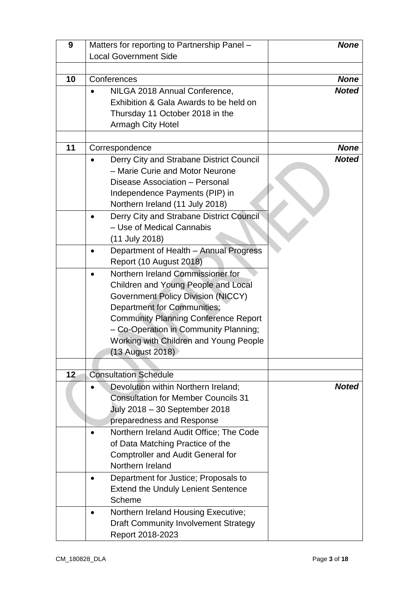| 9  | Matters for reporting to Partnership Panel -                 | <b>None</b>  |
|----|--------------------------------------------------------------|--------------|
|    | <b>Local Government Side</b>                                 |              |
|    |                                                              |              |
| 10 | Conferences                                                  | <b>None</b>  |
|    | NILGA 2018 Annual Conference,                                | <b>Noted</b> |
|    | Exhibition & Gala Awards to be held on                       |              |
|    | Thursday 11 October 2018 in the                              |              |
|    | <b>Armagh City Hotel</b>                                     |              |
|    |                                                              |              |
| 11 | Correspondence                                               | <b>None</b>  |
|    | Derry City and Strabane District Council                     | <b>Noted</b> |
|    | - Marie Curie and Motor Neurone                              |              |
|    | Disease Association - Personal                               |              |
|    | Independence Payments (PIP) in                               |              |
|    | Northern Ireland (11 July 2018)                              |              |
|    | Derry City and Strabane District Council                     |              |
|    | - Use of Medical Cannabis                                    |              |
|    | (11 July 2018)                                               |              |
|    | Department of Health - Annual Progress                       |              |
|    | Report (10 August 2018)                                      |              |
|    | Northern Ireland Commissioner for                            |              |
|    | Children and Young People and Local                          |              |
|    | <b>Government Policy Division (NICCY)</b>                    |              |
|    | <b>Department for Communities;</b>                           |              |
|    | <b>Community Planning Conference Report</b>                  |              |
|    | - Co-Operation in Community Planning;                        |              |
|    | Working with Children and Young People                       |              |
|    | (13 August 2018)                                             |              |
|    |                                                              |              |
| 12 | <b>Consultation Schedule</b>                                 |              |
|    | Devolution within Northern Ireland;                          | <b>Noted</b> |
|    | <b>Consultation for Member Councils 31</b>                   |              |
|    | July 2018 - 30 September 2018                                |              |
|    | preparedness and Response                                    |              |
|    |                                                              |              |
|    | Northern Ireland Audit Office; The Code                      |              |
|    | of Data Matching Practice of the                             |              |
|    | <b>Comptroller and Audit General for</b><br>Northern Ireland |              |
|    |                                                              |              |
|    | Department for Justice; Proposals to                         |              |
|    | <b>Extend the Unduly Lenient Sentence</b>                    |              |
|    | Scheme                                                       |              |
|    | Northern Ireland Housing Executive;                          |              |
|    | <b>Draft Community Involvement Strategy</b>                  |              |
|    | Report 2018-2023                                             |              |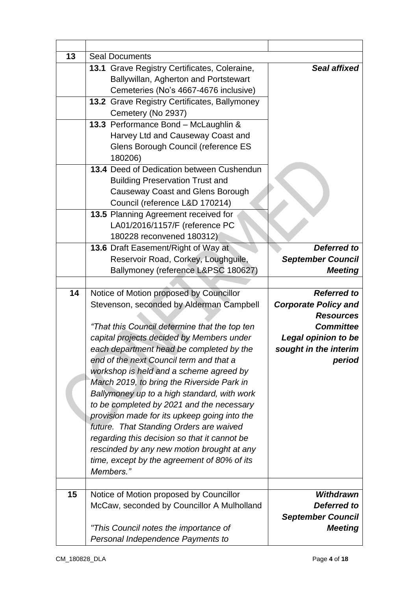| 13 | <b>Seal Documents</b>                                                  |                             |
|----|------------------------------------------------------------------------|-----------------------------|
|    | 13.1 Grave Registry Certificates, Coleraine,                           | <b>Seal affixed</b>         |
|    | Ballywillan, Agherton and Portstewart                                  |                             |
|    | Cemeteries (No's 4667-4676 inclusive)                                  |                             |
|    | 13.2 Grave Registry Certificates, Ballymoney                           |                             |
|    | Cemetery (No 2937)                                                     |                             |
|    | 13.3 Performance Bond - McLaughlin &                                   |                             |
|    | Harvey Ltd and Causeway Coast and                                      |                             |
|    | Glens Borough Council (reference ES                                    |                             |
|    | 180206)                                                                |                             |
|    | 13.4 Deed of Dedication between Cushendun                              |                             |
|    | <b>Building Preservation Trust and</b>                                 |                             |
|    | <b>Causeway Coast and Glens Borough</b>                                |                             |
|    | Council (reference L&D 170214)                                         |                             |
|    | 13.5 Planning Agreement received for<br>LA01/2016/1157/F (reference PC |                             |
|    | 180228 reconvened 180312)                                              |                             |
|    | 13.6 Draft Easement/Right of Way at                                    | <b>Deferred to</b>          |
|    | Reservoir Road, Corkey, Loughguile,                                    | <b>September Council</b>    |
|    | Ballymoney (reference L&PSC 180627)                                    | <b>Meeting</b>              |
|    |                                                                        |                             |
| 14 | Notice of Motion proposed by Councillor                                | <b>Referred to</b>          |
|    | Stevenson, seconded by Alderman Campbell                               | <b>Corporate Policy and</b> |
|    |                                                                        | <b>Resources</b>            |
|    | "That this Council determine that the top ten                          | <b>Committee</b>            |
|    | capital projects decided by Members under                              | <b>Legal opinion to be</b>  |
|    | each department head be completed by the                               | sought in the interim       |
|    | end of the next Council term and that a                                | period                      |
|    | workshop is held and a scheme agreed by                                |                             |
|    | March 2019, to bring the Riverside Park in                             |                             |
|    | Ballymoney up to a high standard, with work                            |                             |
|    | to be completed by 2021 and the necessary                              |                             |
|    | provision made for its upkeep going into the                           |                             |
|    | future. That Standing Orders are waived                                |                             |
|    | regarding this decision so that it cannot be                           |                             |
|    | rescinded by any new motion brought at any                             |                             |
|    | time, except by the agreement of 80% of its                            |                             |
|    | Members."                                                              |                             |
|    |                                                                        |                             |
| 15 | Notice of Motion proposed by Councillor                                | Withdrawn                   |
|    | McCaw, seconded by Councillor A Mulholland                             | Deferred to                 |
|    |                                                                        | <b>September Council</b>    |
|    | "This Council notes the importance of                                  | <b>Meeting</b>              |
|    | Personal Independence Payments to                                      |                             |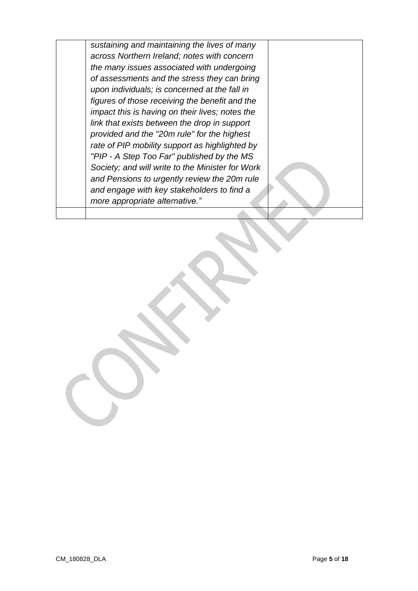*sustaining and maintaining the lives of many across Northern Ireland; notes with concern the many issues associated with undergoing of assessments and the stress they can bring upon individuals; is concerned at the fall in figures of those receiving the benefit and the impact this is having on their lives; notes the link that exists between the drop in support provided and the "20m rule" for the highest rate of PIP mobility support as highlighted by "PIP - A Step Too Far" published by the MS Society; and will write to the Minister for Work and Pensions to urgently review the 20m rule and engage with key stakeholders to find a more appropriate alternative."*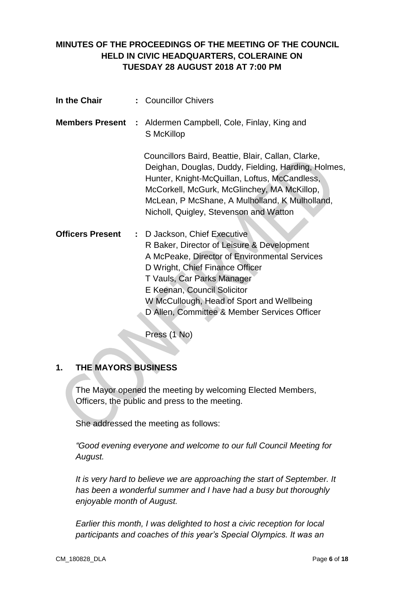### **MINUTES OF THE PROCEEDINGS OF THE MEETING OF THE COUNCIL HELD IN CIVIC HEADQUARTERS, COLERAINE ON TUESDAY 28 AUGUST 2018 AT 7:00 PM**

| In the Chair            | : Councillor Chivers                                                                                                                                                                                                                                                                                                     |
|-------------------------|--------------------------------------------------------------------------------------------------------------------------------------------------------------------------------------------------------------------------------------------------------------------------------------------------------------------------|
|                         | <b>Members Present :</b> Aldermen Campbell, Cole, Finlay, King and<br>S McKillop                                                                                                                                                                                                                                         |
|                         | Councillors Baird, Beattie, Blair, Callan, Clarke,<br>Deighan, Douglas, Duddy, Fielding, Harding, Holmes,<br>Hunter, Knight-McQuillan, Loftus, McCandless,<br>McCorkell, McGurk, McGlinchey, MA McKillop,<br>McLean, P McShane, A Mulholland, K Mulholland,<br>Nicholl, Quigley, Stevenson and Watton                    |
| <b>Officers Present</b> | : D Jackson, Chief Executive<br>R Baker, Director of Leisure & Development<br>A McPeake, Director of Environmental Services<br>D Wright, Chief Finance Officer<br>T Vauls, Car Parks Manager<br>E Keenan, Council Solicitor<br>W McCullough, Head of Sport and Wellbeing<br>D Allen, Committee & Member Services Officer |

Press (1 No)

# **1. THE MAYORS BUSINESS**

The Mayor opened the meeting by welcoming Elected Members, Officers, the public and press to the meeting.

She addressed the meeting as follows:

*"Good evening everyone and welcome to our full Council Meeting for August.*

*It is very hard to believe we are approaching the start of September. It has been a wonderful summer and I have had a busy but thoroughly enjoyable month of August.* 

*Earlier this month, I was delighted to host a civic reception for local participants and coaches of this year's Special Olympics. It was an*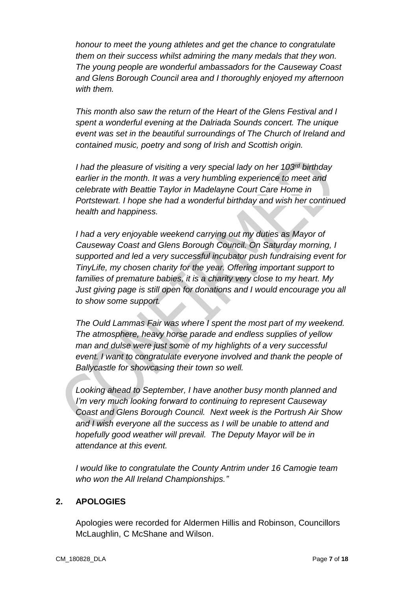*honour to meet the young athletes and get the chance to congratulate them on their success whilst admiring the many medals that they won. The young people are wonderful ambassadors for the Causeway Coast and Glens Borough Council area and I thoroughly enjoyed my afternoon with them.*

*This month also saw the return of the Heart of the Glens Festival and I spent a wonderful evening at the Dalriada Sounds concert. The unique event was set in the beautiful surroundings of The Church of Ireland and contained music, poetry and song of Irish and Scottish origin.*

*I had the pleasure of visiting a very special lady on her 103rd birthday earlier in the month. It was a very humbling experience to meet and celebrate with Beattie Taylor in Madelayne Court Care Home in Portstewart. I hope she had a wonderful birthday and wish her continued health and happiness.*

*I had a very enjoyable weekend carrying out my duties as Mayor of Causeway Coast and Glens Borough Council. On Saturday morning, I supported and led a very successful incubator push fundraising event for TinyLife, my chosen charity for the year. Offering important support to families of premature babies, it is a charity very close to my heart. My Just giving page is still open for donations and I would encourage you all to show some support.*

*The Ould Lammas Fair was where I spent the most part of my weekend. The atmosphere, heavy horse parade and endless supplies of yellow man and dulse were just some of my highlights of a very successful event. I want to congratulate everyone involved and thank the people of Ballycastle for showcasing their town so well.* 

*Looking ahead to September, I have another busy month planned and I'm very much looking forward to continuing to represent Causeway Coast and Glens Borough Council. Next week is the Portrush Air Show and I wish everyone all the success as I will be unable to attend and hopefully good weather will prevail. The Deputy Mayor will be in attendance at this event.*

*I would like to congratulate the County Antrim under 16 Camogie team who won the All Ireland Championships."*

### **2. APOLOGIES**

Apologies were recorded for Aldermen Hillis and Robinson, Councillors McLaughlin, C McShane and Wilson.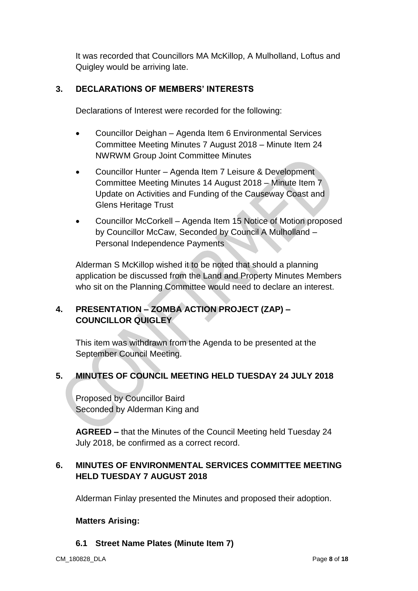It was recorded that Councillors MA McKillop, A Mulholland, Loftus and Quigley would be arriving late.

### **3. DECLARATIONS OF MEMBERS' INTERESTS**

Declarations of Interest were recorded for the following:

- Councillor Deighan Agenda Item 6 Environmental Services Committee Meeting Minutes 7 August 2018 – Minute Item 24 NWRWM Group Joint Committee Minutes
- Councillor Hunter Agenda Item 7 Leisure & Development Committee Meeting Minutes 14 August 2018 – Minute Item 7 Update on Activities and Funding of the Causeway Coast and Glens Heritage Trust
- Councillor McCorkell Agenda Item 15 Notice of Motion proposed by Councillor McCaw, Seconded by Council A Mulholland – Personal Independence Payments

Alderman S McKillop wished it to be noted that should a planning application be discussed from the Land and Property Minutes Members who sit on the Planning Committee would need to declare an interest.

# **4. PRESENTATION – ZOMBA ACTION PROJECT (ZAP) – COUNCILLOR QUIGLEY**

This item was withdrawn from the Agenda to be presented at the September Council Meeting.

# **5. MINUTES OF COUNCIL MEETING HELD TUESDAY 24 JULY 2018**

Proposed by Councillor Baird Seconded by Alderman King and

**AGREED –** that the Minutes of the Council Meeting held Tuesday 24 July 2018, be confirmed as a correct record.

### **6. MINUTES OF ENVIRONMENTAL SERVICES COMMITTEE MEETING HELD TUESDAY 7 AUGUST 2018**

Alderman Finlay presented the Minutes and proposed their adoption.

#### **Matters Arising:**

### **6.1 Street Name Plates (Minute Item 7)**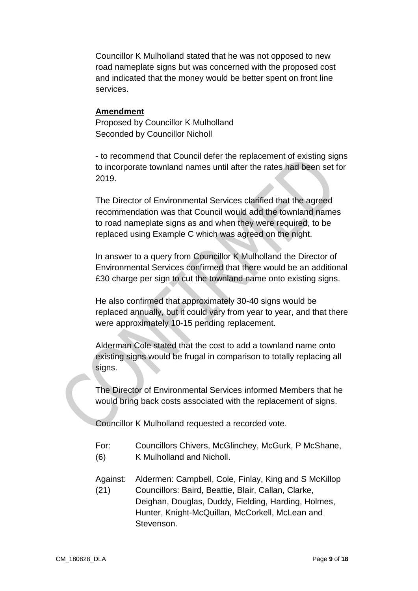Councillor K Mulholland stated that he was not opposed to new road nameplate signs but was concerned with the proposed cost and indicated that the money would be better spent on front line services.

#### **Amendment**

Proposed by Councillor K Mulholland Seconded by Councillor Nicholl

- to recommend that Council defer the replacement of existing signs to incorporate townland names until after the rates had been set for 2019.

The Director of Environmental Services clarified that the agreed recommendation was that Council would add the townland names to road nameplate signs as and when they were required, to be replaced using Example C which was agreed on the night.

In answer to a query from Councillor K Mulholland the Director of Environmental Services confirmed that there would be an additional £30 charge per sign to cut the townland name onto existing signs.

He also confirmed that approximately 30-40 signs would be replaced annually, but it could vary from year to year, and that there were approximately 10-15 pending replacement.

Alderman Cole stated that the cost to add a townland name onto existing signs would be frugal in comparison to totally replacing all signs.

The Director of Environmental Services informed Members that he would bring back costs associated with the replacement of signs.

Councillor K Mulholland requested a recorded vote.

- For: Councillors Chivers, McGlinchey, McGurk, P McShane,
- (6) K Mulholland and Nicholl.
- Against: Aldermen: Campbell, Cole, Finlay, King and S McKillop (21) Councillors: Baird, Beattie, Blair, Callan, Clarke, Deighan, Douglas, Duddy, Fielding, Harding, Holmes, Hunter, Knight-McQuillan, McCorkell, McLean and Stevenson.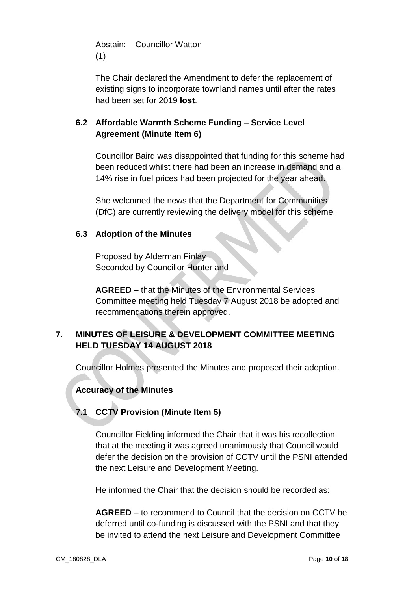Abstain: Councillor Watton (1)

The Chair declared the Amendment to defer the replacement of existing signs to incorporate townland names until after the rates had been set for 2019 **lost**.

### **6.2 Affordable Warmth Scheme Funding – Service Level Agreement (Minute Item 6)**

Councillor Baird was disappointed that funding for this scheme had been reduced whilst there had been an increase in demand and a 14% rise in fuel prices had been projected for the year ahead.

She welcomed the news that the Department for Communities (DfC) are currently reviewing the delivery model for this scheme.

### **6.3 Adoption of the Minutes**

Proposed by Alderman Finlay Seconded by Councillor Hunter and

**AGREED** – that the Minutes of the Environmental Services Committee meeting held Tuesday 7 August 2018 be adopted and recommendations therein approved.

# **7. MINUTES OF LEISURE & DEVELOPMENT COMMITTEE MEETING HELD TUESDAY 14 AUGUST 2018**

Councillor Holmes presented the Minutes and proposed their adoption.

### **Accuracy of the Minutes**

# **7.1 CCTV Provision (Minute Item 5)**

Councillor Fielding informed the Chair that it was his recollection that at the meeting it was agreed unanimously that Council would defer the decision on the provision of CCTV until the PSNI attended the next Leisure and Development Meeting.

He informed the Chair that the decision should be recorded as:

**AGREED** – to recommend to Council that the decision on CCTV be deferred until co-funding is discussed with the PSNI and that they be invited to attend the next Leisure and Development Committee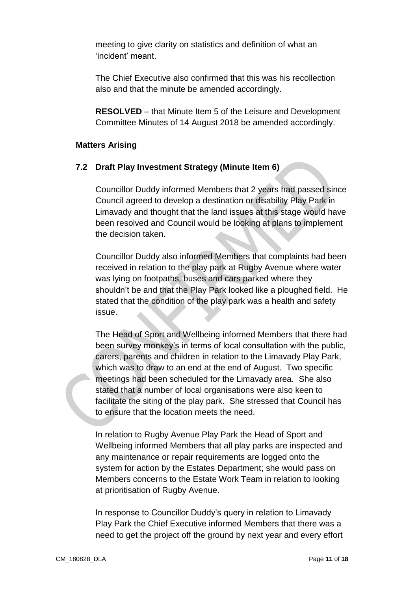meeting to give clarity on statistics and definition of what an 'incident' meant.

The Chief Executive also confirmed that this was his recollection also and that the minute be amended accordingly.

**RESOLVED** – that Minute Item 5 of the Leisure and Development Committee Minutes of 14 August 2018 be amended accordingly.

#### **Matters Arising**

#### **7.2 Draft Play Investment Strategy (Minute Item 6)**

Councillor Duddy informed Members that 2 years had passed since Council agreed to develop a destination or disability Play Park in Limavady and thought that the land issues at this stage would have been resolved and Council would be looking at plans to implement the decision taken.

Councillor Duddy also informed Members that complaints had been received in relation to the play park at Rugby Avenue where water was lying on footpaths, buses and cars parked where they shouldn't be and that the Play Park looked like a ploughed field. He stated that the condition of the play park was a health and safety issue.

The Head of Sport and Wellbeing informed Members that there had been survey monkey's in terms of local consultation with the public, carers, parents and children in relation to the Limavady Play Park, which was to draw to an end at the end of August. Two specific meetings had been scheduled for the Limavady area. She also stated that a number of local organisations were also keen to facilitate the siting of the play park. She stressed that Council has to ensure that the location meets the need.

In relation to Rugby Avenue Play Park the Head of Sport and Wellbeing informed Members that all play parks are inspected and any maintenance or repair requirements are logged onto the system for action by the Estates Department; she would pass on Members concerns to the Estate Work Team in relation to looking at prioritisation of Rugby Avenue.

In response to Councillor Duddy's query in relation to Limavady Play Park the Chief Executive informed Members that there was a need to get the project off the ground by next year and every effort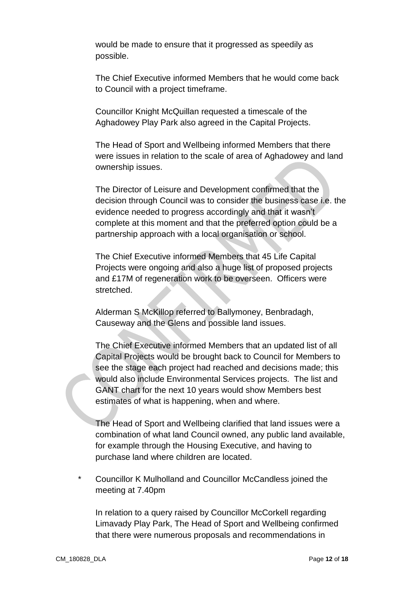would be made to ensure that it progressed as speedily as possible.

The Chief Executive informed Members that he would come back to Council with a project timeframe.

Councillor Knight McQuillan requested a timescale of the Aghadowey Play Park also agreed in the Capital Projects.

The Head of Sport and Wellbeing informed Members that there were issues in relation to the scale of area of Aghadowey and land ownership issues.

The Director of Leisure and Development confirmed that the decision through Council was to consider the business case i.e. the evidence needed to progress accordingly and that it wasn't complete at this moment and that the preferred option could be a partnership approach with a local organisation or school.

The Chief Executive informed Members that 45 Life Capital Projects were ongoing and also a huge list of proposed projects and £17M of regeneration work to be overseen. Officers were stretched.

Alderman S McKillop referred to Ballymoney, Benbradagh, Causeway and the Glens and possible land issues.

The Chief Executive informed Members that an updated list of all Capital Projects would be brought back to Council for Members to see the stage each project had reached and decisions made; this would also include Environmental Services projects. The list and GANT chart for the next 10 years would show Members best estimates of what is happening, when and where.

The Head of Sport and Wellbeing clarified that land issues were a combination of what land Council owned, any public land available, for example through the Housing Executive, and having to purchase land where children are located.

\* Councillor K Mulholland and Councillor McCandless joined the meeting at 7.40pm

In relation to a query raised by Councillor McCorkell regarding Limavady Play Park, The Head of Sport and Wellbeing confirmed that there were numerous proposals and recommendations in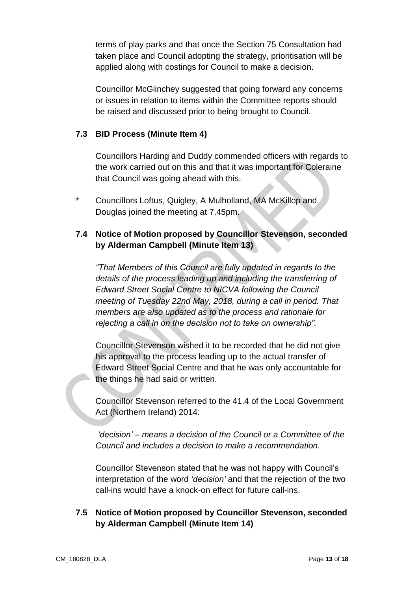terms of play parks and that once the Section 75 Consultation had taken place and Council adopting the strategy, prioritisation will be applied along with costings for Council to make a decision.

Councillor McGlinchey suggested that going forward any concerns or issues in relation to items within the Committee reports should be raised and discussed prior to being brought to Council.

### **7.3 BID Process (Minute Item 4)**

Councillors Harding and Duddy commended officers with regards to the work carried out on this and that it was important for Coleraine that Council was going ahead with this.

Councillors Loftus, Quigley, A Mulholland, MA McKillop and Douglas joined the meeting at 7.45pm.

### **7.4 Notice of Motion proposed by Councillor Stevenson, seconded by Alderman Campbell (Minute Item 13)**

*"That Members of this Council are fully updated in regards to the details of the process leading up and including the transferring of Edward Street Social Centre to NICVA following the Council meeting of Tuesday 22nd May, 2018, during a call in period. That members are also updated as to the process and rationale for rejecting a call in on the decision not to take on ownership".*

Councillor Stevenson wished it to be recorded that he did not give his approval to the process leading up to the actual transfer of Edward Street Social Centre and that he was only accountable for the things he had said or written.

Councillor Stevenson referred to the 41.4 of the Local Government Act (Northern Ireland) 2014:

*'decision' – means a decision of the Council or a Committee of the Council and includes a decision to make a recommendation.*

Councillor Stevenson stated that he was not happy with Council's interpretation of the word *'decision'* and that the rejection of the two call-ins would have a knock-on effect for future call-ins.

### **7.5 Notice of Motion proposed by Councillor Stevenson, seconded by Alderman Campbell (Minute Item 14)**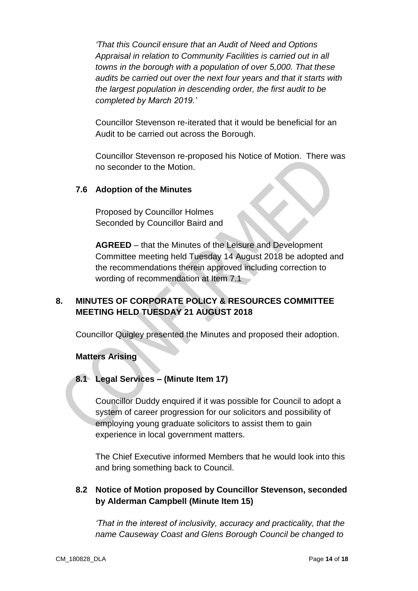*'That this Council ensure that an Audit of Need and Options Appraisal in relation to Community Facilities is carried out in all towns in the borough with a population of over 5,000. That these audits be carried out over the next four years and that it starts with the largest population in descending order, the first audit to be completed by March 2019.'*

Councillor Stevenson re-iterated that it would be beneficial for an Audit to be carried out across the Borough.

Councillor Stevenson re-proposed his Notice of Motion. There was no seconder to the Motion.

#### **7.6 Adoption of the Minutes**

Proposed by Councillor Holmes Seconded by Councillor Baird and

**AGREED** – that the Minutes of the Leisure and Development Committee meeting held Tuesday 14 August 2018 be adopted and the recommendations therein approved including correction to wording of recommendation at Item 7.1

# **8. MINUTES OF CORPORATE POLICY & RESOURCES COMMITTEE MEETING HELD TUESDAY 21 AUGUST 2018**

Councillor Quigley presented the Minutes and proposed their adoption.

### **Matters Arising**

### **8.1 Legal Services – (Minute Item 17)**

Councillor Duddy enquired if it was possible for Council to adopt a system of career progression for our solicitors and possibility of employing young graduate solicitors to assist them to gain experience in local government matters.

The Chief Executive informed Members that he would look into this and bring something back to Council.

### **8.2 Notice of Motion proposed by Councillor Stevenson, seconded by Alderman Campbell (Minute Item 15)**

*'That in the interest of inclusivity, accuracy and practicality, that the name Causeway Coast and Glens Borough Council be changed to*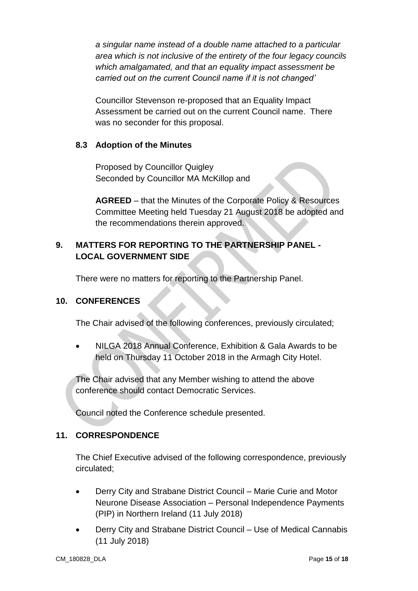*a singular name instead of a double name attached to a particular area which is not inclusive of the entirety of the four legacy councils which amalgamated, and that an equality impact assessment be carried out on the current Council name if it is not changed'*

Councillor Stevenson re-proposed that an Equality Impact Assessment be carried out on the current Council name. There was no seconder for this proposal.

### **8.3 Adoption of the Minutes**

Proposed by Councillor Quigley Seconded by Councillor MA McKillop and

**AGREED** – that the Minutes of the Corporate Policy & Resources Committee Meeting held Tuesday 21 August 2018 be adopted and the recommendations therein approved.

### **9. MATTERS FOR REPORTING TO THE PARTNERSHIP PANEL - LOCAL GOVERNMENT SIDE**

There were no matters for reporting to the Partnership Panel.

### **10. CONFERENCES**

The Chair advised of the following conferences, previously circulated;

 NILGA 2018 Annual Conference, Exhibition & Gala Awards to be held on Thursday 11 October 2018 in the Armagh City Hotel.

The Chair advised that any Member wishing to attend the above conference should contact Democratic Services.

Council noted the Conference schedule presented.

### **11. CORRESPONDENCE**

The Chief Executive advised of the following correspondence, previously circulated;

- Derry City and Strabane District Council Marie Curie and Motor Neurone Disease Association – Personal Independence Payments (PIP) in Northern Ireland (11 July 2018)
- Derry City and Strabane District Council Use of Medical Cannabis (11 July 2018)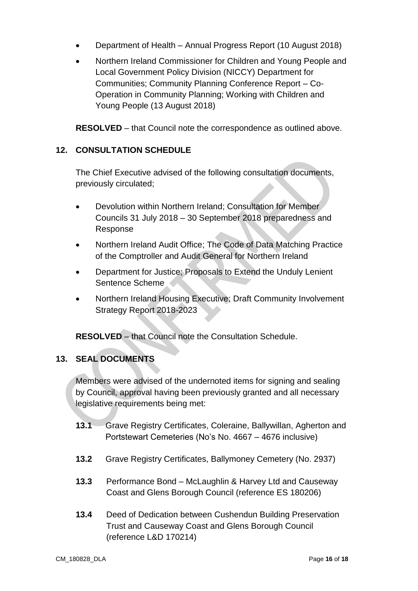- Department of Health Annual Progress Report (10 August 2018)
- Northern Ireland Commissioner for Children and Young People and Local Government Policy Division (NICCY) Department for Communities; Community Planning Conference Report – Co-Operation in Community Planning; Working with Children and Young People (13 August 2018)

**RESOLVED** – that Council note the correspondence as outlined above.

### **12. CONSULTATION SCHEDULE**

The Chief Executive advised of the following consultation documents, previously circulated;

- Devolution within Northern Ireland; Consultation for Member Councils 31 July 2018 – 30 September 2018 preparedness and Response
- Northern Ireland Audit Office; The Code of Data Matching Practice of the Comptroller and Audit General for Northern Ireland
- Department for Justice; Proposals to Extend the Unduly Lenient Sentence Scheme
- Northern Ireland Housing Executive; Draft Community Involvement Strategy Report 2018-2023

**RESOLVED** – that Council note the Consultation Schedule.

### **13. SEAL DOCUMENTS**

Members were advised of the undernoted items for signing and sealing by Council, approval having been previously granted and all necessary legislative requirements being met:

- 13.1 Grave Registry Certificates, Coleraine, Ballywillan, Agherton and Portstewart Cemeteries (No's No. 4667 – 4676 inclusive)
- **13.2** Grave Registry Certificates, Ballymoney Cemetery (No. 2937)
- **13.3** Performance Bond McLaughlin & Harvey Ltd and Causeway Coast and Glens Borough Council (reference ES 180206)
- **13.4** Deed of Dedication between Cushendun Building Preservation Trust and Causeway Coast and Glens Borough Council (reference L&D 170214)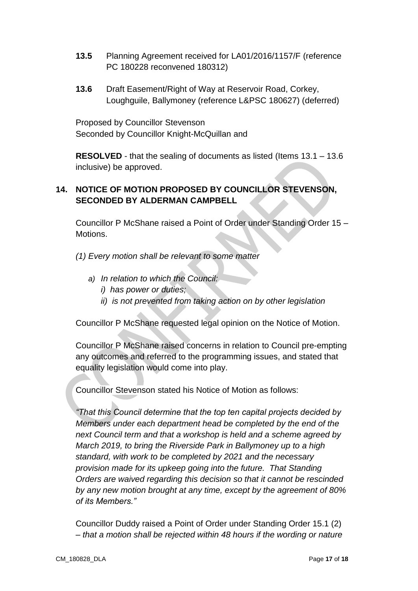- **13.5** Planning Agreement received for LA01/2016/1157/F (reference PC 180228 reconvened 180312)
- **13.6** Draft Easement/Right of Way at Reservoir Road, Corkey, Loughguile, Ballymoney (reference L&PSC 180627) (deferred)

Proposed by Councillor Stevenson Seconded by Councillor Knight-McQuillan and

**RESOLVED** - that the sealing of documents as listed (Items 13.1 – 13.6 inclusive) be approved.

# **14. NOTICE OF MOTION PROPOSED BY COUNCILLOR STEVENSON, SECONDED BY ALDERMAN CAMPBELL**

Councillor P McShane raised a Point of Order under Standing Order 15 – Motions.

*(1) Every motion shall be relevant to some matter*

- *a) In relation to which the Council:*
	- *i) has power or duties;*
	- *ii) is not prevented from taking action on by other legislation*

Councillor P McShane requested legal opinion on the Notice of Motion.

Councillor P McShane raised concerns in relation to Council pre-empting any outcomes and referred to the programming issues, and stated that equality legislation would come into play.

Councillor Stevenson stated his Notice of Motion as follows:

*"That this Council determine that the top ten capital projects decided by Members under each department head be completed by the end of the next Council term and that a workshop is held and a scheme agreed by March 2019, to bring the Riverside Park in Ballymoney up to a high standard, with work to be completed by 2021 and the necessary provision made for its upkeep going into the future. That Standing Orders are waived regarding this decision so that it cannot be rescinded by any new motion brought at any time, except by the agreement of 80% of its Members."*

Councillor Duddy raised a Point of Order under Standing Order 15.1 (2) – *that a motion shall be rejected within 48 hours if the wording or nature*